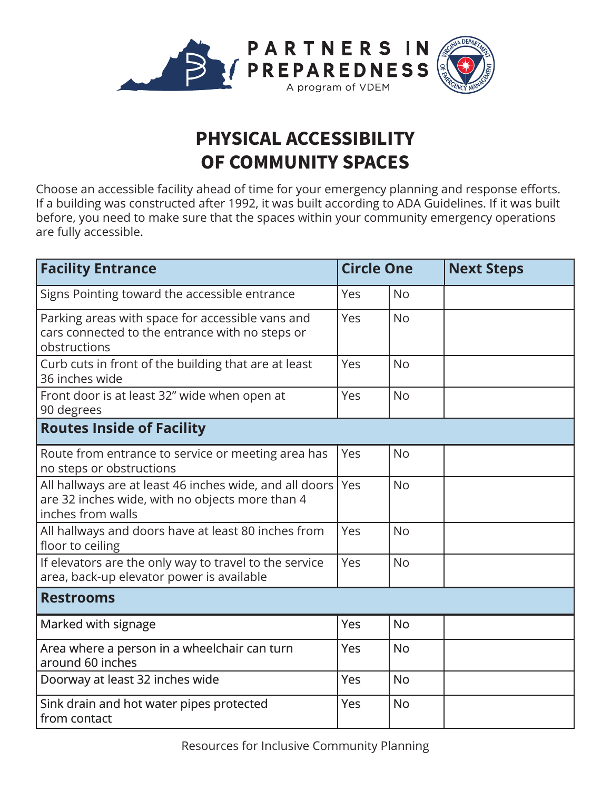

## **PHYSICAL ACCESSIBILITY OF COMMUNITY SPACES**

Choose an accessible facility ahead of time for your emergency planning and response efforts. If a building was constructed after 1992, it was built according to ADA Guidelines. If it was built before, you need to make sure that the spaces within your community emergency operations are fully accessible.

| <b>Facility Entrance</b>                                                                                                          | <b>Circle One</b> |           | <b>Next Steps</b> |
|-----------------------------------------------------------------------------------------------------------------------------------|-------------------|-----------|-------------------|
| Signs Pointing toward the accessible entrance                                                                                     | Yes               | <b>No</b> |                   |
| Parking areas with space for accessible vans and<br>cars connected to the entrance with no steps or<br>obstructions               | Yes               | <b>No</b> |                   |
| Curb cuts in front of the building that are at least<br>36 inches wide                                                            | Yes               | <b>No</b> |                   |
| Front door is at least 32" wide when open at<br>90 degrees                                                                        | Yes               | <b>No</b> |                   |
| <b>Routes Inside of Facility</b>                                                                                                  |                   |           |                   |
| Route from entrance to service or meeting area has<br>no steps or obstructions                                                    | Yes               | <b>No</b> |                   |
| All hallways are at least 46 inches wide, and all doors  <br>are 32 inches wide, with no objects more than 4<br>inches from walls | Yes               | <b>No</b> |                   |
| All hallways and doors have at least 80 inches from<br>floor to ceiling                                                           | Yes               | <b>No</b> |                   |
| If elevators are the only way to travel to the service<br>area, back-up elevator power is available                               | Yes               | <b>No</b> |                   |
| <b>Restrooms</b>                                                                                                                  |                   |           |                   |
| Marked with signage                                                                                                               | Yes               | <b>No</b> |                   |
| Area where a person in a wheelchair can turn<br>around 60 inches                                                                  | Yes               | <b>No</b> |                   |
| Doorway at least 32 inches wide                                                                                                   | Yes               | <b>No</b> |                   |
| Sink drain and hot water pipes protected<br>from contact                                                                          | Yes               | <b>No</b> |                   |